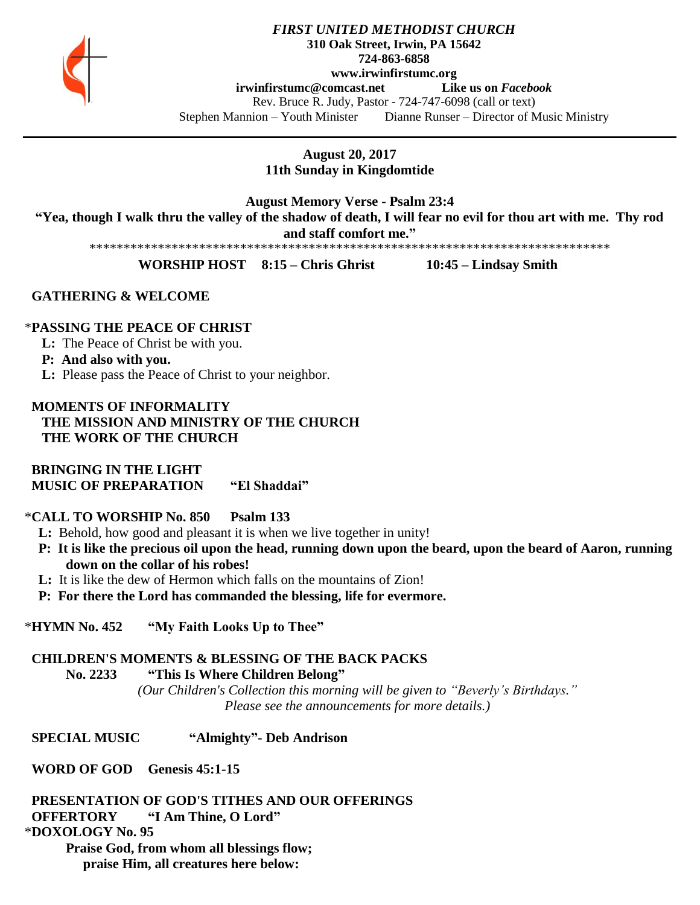

### *FIRST UNITED METHODIST CHURCH* **310 Oak Street, Irwin, PA 15642 724-863-6858 www.irwinfirstumc.org [irwinfirstumc@comcast.net](mailto:irwinfirstumc@comcast.net) Like us on** *Facebook* Rev. Bruce R. Judy, Pastor - 724-747-6098 (call or text) Stephen Mannion – Youth Minister Dianne Runser – Director of Music Ministry

**August 20, 2017 11th Sunday in Kingdomtide**

**August Memory Verse - Psalm 23:4 "Yea, though I walk thru the valley of the shadow of death, I will fear no evil for thou art with me. Thy rod and staff comfort me."**

\*\*\*\*\*\*\*\*\*\*\*\*\*\*\*\*\*\*\*\*\*\*\*\*\*\*\*\*\*\*\*\*\*\*\*\*\*\*\*\*\*\*\*\*\*\*\*\*\*\*\*\*\*\*\*\*\*\*\*\*\*\*\*\*\*\*\*\*\*\*\*\*\*\*\*\*

**WORSHIP HOST 8:15 – Chris Ghrist 10:45 – Lindsay Smith**

## **GATHERING & WELCOME**

### \***PASSING THE PEACE OF CHRIST**

**L:** The Peace of Christ be with you.

### **P: And also with you.**

**L:** Please pass the Peace of Christ to your neighbor.

## **MOMENTS OF INFORMALITY THE MISSION AND MINISTRY OF THE CHURCH THE WORK OF THE CHURCH**

 **BRINGING IN THE LIGHT MUSIC OF PREPARATION "El Shaddai"**

#### \***CALL TO WORSHIP No. 850 Psalm 133**

- **L:** Behold, how good and pleasant it is when we live together in unity!
- **P: It is like the precious oil upon the head, running down upon the beard, upon the beard of Aaron, running down on the collar of his robes!**
- **L:** It is like the dew of Hermon which falls on the mountains of Zion!

 **P: For there the Lord has commanded the blessing, life for evermore.**

\***HYMN No. 452 "My Faith Looks Up to Thee"**

# **CHILDREN'S MOMENTS & BLESSING OF THE BACK PACKS**

**No. 2233 "This Is Where Children Belong"**

*(Our Children's Collection this morning will be given to "Beverly's Birthdays." Please see the announcements for more details.)*

 **SPECIAL MUSIC "Almighty"- Deb Andrison**

 **WORD OF GOD Genesis 45:1-15**

 **PRESENTATION OF GOD'S TITHES AND OUR OFFERINGS OFFERTORY "I Am Thine, O Lord"** \***DOXOLOGY No. 95**

**Praise God, from whom all blessings flow; praise Him, all creatures here below:**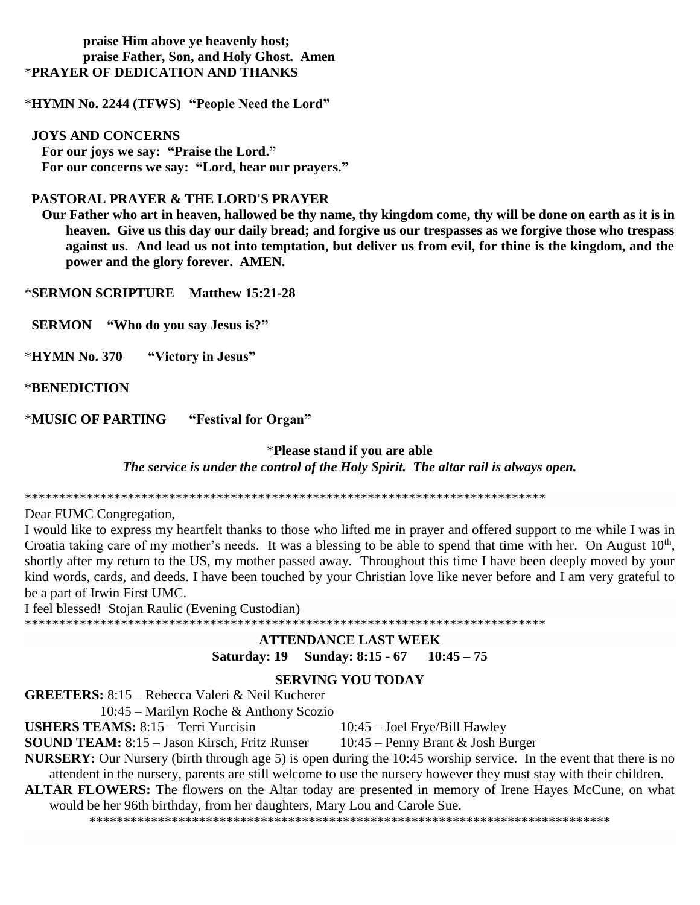## **praise Him above ye heavenly host; praise Father, Son, and Holy Ghost. Amen** \***PRAYER OF DEDICATION AND THANKS**

\***HYMN No. 2244 (TFWS) "People Need the Lord"**

#### **JOYS AND CONCERNS**

 **For our joys we say: "Praise the Lord." For our concerns we say: "Lord, hear our prayers."**

## **PASTORAL PRAYER & THE LORD'S PRAYER**

 **Our Father who art in heaven, hallowed be thy name, thy kingdom come, thy will be done on earth as it is in heaven. Give us this day our daily bread; and forgive us our trespasses as we forgive those who trespass against us. And lead us not into temptation, but deliver us from evil, for thine is the kingdom, and the power and the glory forever. AMEN.**

\***SERMON SCRIPTURE Matthew 15:21-28**

 **SERMON "Who do you say Jesus is?"**

\***HYMN No. 370 "Victory in Jesus"**

\***BENEDICTION**

\***MUSIC OF PARTING "Festival for Organ"**

# \***Please stand if you are able** *The service is under the control of the Holy Spirit. The altar rail is always open.*

\*\*\*\*\*\*\*\*\*\*\*\*\*\*\*\*\*\*\*\*\*\*\*\*\*\*\*\*\*\*\*\*\*\*\*\*\*\*\*\*\*\*\*\*\*\*\*\*\*\*\*\*\*\*\*\*\*\*\*\*\*\*\*\*\*\*\*\*\*\*\*\*\*\*\*\*

Dear FUMC Congregation,

I would like to express my heartfelt thanks to those who lifted me in prayer and offered support to me while I was in Croatia taking care of my mother's needs. It was a blessing to be able to spend that time with her. On August  $10<sup>th</sup>$ , shortly after my return to the US, my mother passed away. Throughout this time I have been deeply moved by your kind words, cards, and deeds. I have been touched by your Christian love like never before and I am very grateful to be a part of Irwin First UMC.

I feel blessed! Stojan Raulic (Evening Custodian)

\*\*\*\*\*\*\*\*\*\*\*\*\*\*\*\*\*\*\*\*\*\*\*\*\*\*\*\*\*\*\*\*\*\*\*\*\*\*\*\*\*\*\*\*\*\*\*\*\*\*\*\*\*\*\*\*\*\*\*\*\*\*\*\*\*\*\*\*\*\*\*\*\*\*\*\*

## **ATTENDANCE LAST WEEK Saturday: 19 Sunday: 8:15 - 67 10:45 – 75**

# **SERVING YOU TODAY**

**GREETERS:** 8:15 – Rebecca Valeri & Neil Kucherer

10:45 – Marilyn Roche & Anthony Scozio

**USHERS TEAMS:** 8:15 – Terri Yurcisin 10:45 – Joel Frye/Bill Hawley

**SOUND TEAM:** 8:15 – Jason Kirsch, Fritz Runser 10:45 – Penny Brant & Josh Burger **NURSERY:** Our Nursery (birth through age 5) is open during the 10:45 worship service. In the event that there is no attendent in the nursery, parents are still welcome to use the nursery however they must stay with their children.

**ALTAR FLOWERS:** The flowers on the Altar today are presented in memory of Irene Hayes McCune, on what

would be her 96th birthday, from her daughters, Mary Lou and Carole Sue.

\*\*\*\*\*\*\*\*\*\*\*\*\*\*\*\*\*\*\*\*\*\*\*\*\*\*\*\*\*\*\*\*\*\*\*\*\*\*\*\*\*\*\*\*\*\*\*\*\*\*\*\*\*\*\*\*\*\*\*\*\*\*\*\*\*\*\*\*\*\*\*\*\*\*\*\*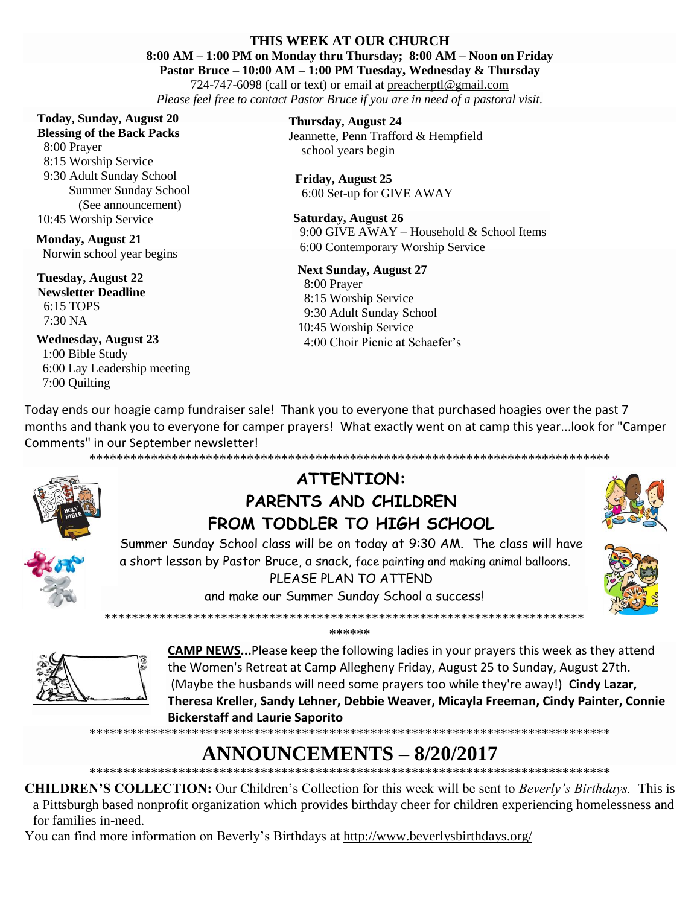## **THIS WEEK AT OUR CHURCH**

**8:00 AM – 1:00 PM on Monday thru Thursday; 8:00 AM – Noon on Friday**

**Pastor Bruce – 10:00 AM – 1:00 PM Tuesday, Wednesday & Thursday** 724-747-6098 (call or text) or email at [preacherptl@gmail.com](mailto:preacherptl@gmail.com)

*Please feel free to contact Pastor Bruce if you are in need of a pastoral visit.*

#### **Today, Sunday, August 20 Blessing of the Back Packs**

 8:00 Prayer 8:15 Worship Service 9:30 Adult Sunday School Summer Sunday School (See announcement) 10:45 Worship Service

**Monday, August 21** Norwin school year begins

**Tuesday, August 22 Newsletter Deadline** 6:15 TOPS 7:30 NA

**Wednesday, August 23** 1:00 Bible Study 6:00 Lay Leadership meeting 7:00 Quilting

**Thursday, August 24** Jeannette, Penn Trafford & Hempfield school years begin

**Friday, August 25** 6:00 Set-up for GIVE AWAY

#### **Saturday, August 26** 9:00 GIVE AWAY – Household & School Items

6:00 Contemporary Worship Service

# **Next Sunday, August 27**

 8:00 Prayer 8:15 Worship Service 9:30 Adult Sunday School 10:45 Worship Service 4:00 Choir Picnic at Schaefer's

Today ends our hoagie camp fundraiser sale! Thank you to everyone that purchased hoagies over the past 7 months and thank you to everyone for camper prayers! What exactly went on at camp this year...look for "Camper Comments" in our September newsletter! \*\*\*\*\*\*\*\*\*\*\*\*\*\*\*\*\*\*\*\*\*\*\*\*\*\*\*\*\*\*\*\*\*\*\*\*\*\*\*\*\*\*\*\*\*\*\*\*\*\*\*\*\*\*\*\*\*\*\*\*\*\*\*\*\*\*\*\*\*\*\*\*\*\*\*\*



**ATTENTION: PARENTS AND CHILDREN FROM TODDLER TO HIGH SCHOOL**

Summer Sunday School class will be on today at 9:30 AM. The class will have a short lesson by Pastor Bruce, a snack, face painting and making animal balloons. PLEASE PLAN TO ATTEND

and make our Summer Sunday School a success! \*\*\*\*\*\*\*\*\*\*\*\*\*\*\*\*\*\*\*\*\*\*\*\*\*\*\*\*\*\*\*\*\*\*\*\*\*\*\*\*\*\*\*\*\*\*\*\*\*\*\*\*\*\*\*\*\*\*\*\*\*\*\*\*\*\*\*\*\*\*

\*\*\*\*\*\*







**CAMP NEWS...**Please keep the following ladies in your prayers this week as they attend the Women's Retreat at Camp Allegheny Friday, August 25 to Sunday, August 27th. (Maybe the husbands will need some prayers too while they're away!) **Cindy Lazar, Theresa Kreller, Sandy Lehner, Debbie Weaver, Micayla Freeman, Cindy Painter, Connie Bickerstaff and Laurie Saporito**

\*\*\*\*\*\*\*\*\*\*\*\*\*\*\*\*\*\*\*\*\*\*\*\*\*\*\*\*\*\*\*\*\*\*\*\*\*\*\*\*\*\*\*\*\*\*\*\*\*\*\*\*\*\*\*\*\*\*\*\*\*\*\*\*\*\*\*\*\*\*\*\*\*\*\*\*

# **ANNOUNCEMENTS – 8/20/2017**

\*\*\*\*\*\*\*\*\*\*\*\*\*\*\*\*\*\*\*\*\*\*\*\*\*\*\*\*\*\*\*\*\*\*\*\*\*\*\*\*\*\*\*\*\*\*\*\*\*\*\*\*\*\*\*\*\*\*\*\*\*\*\*\*\*\*\*\*\*\*\*\*\*\*\*\*

**CHILDREN'S COLLECTION:** Our Children's Collection for this week will be sent to *Beverly's Birthdays.* This is a Pittsburgh based nonprofit organization which provides birthday cheer for children experiencing homelessness and for families in-need.

You can find more information on Beverly's Birthdays at<http://www.beverlysbirthdays.org/>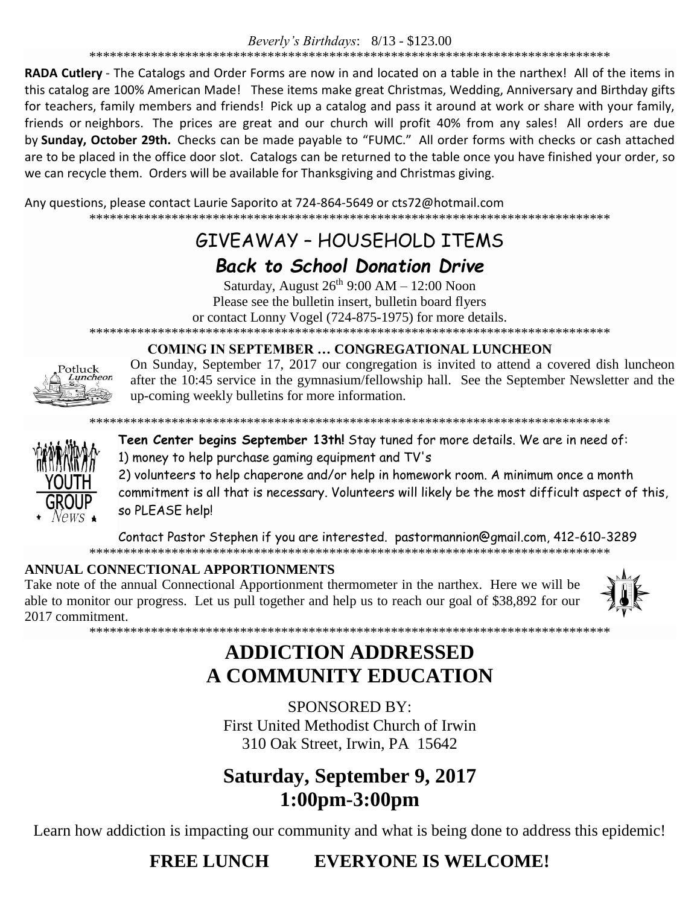RADA Cutlery - The Catalogs and Order Forms are now in and located on a table in the narthex! All of the items in this catalog are 100% American Made! These items make great Christmas, Wedding, Anniversary and Birthday gifts for teachers, family members and friends! Pick up a catalog and pass it around at work or share with your family, friends or neighbors. The prices are great and our church will profit 40% from any sales! All orders are due by Sunday, October 29th. Checks can be made payable to "FUMC." All order forms with checks or cash attached are to be placed in the office door slot. Catalogs can be returned to the table once you have finished your order, so we can recycle them. Orders will be available for Thanksgiving and Christmas giving.

Any questions, please contact Laurie Saporito at 724-864-5649 or cts72@hotmail.com 

# GIVFAWAY - HOUSFHOLD ITFMS

# **Back to School Donation Drive**

Saturday, August  $26^{th}$  9:00 AM  $- 12:00$  Noon Please see the bulletin insert, bulletin board flyers or contact Lonny Vogel (724-875-1975) for more details. 

# **COMING IN SEPTEMBER ... CONGREGATIONAL LUNCHEON**



On Sunday, September 17, 2017 our congregation is invited to attend a covered dish luncheon after the 10:45 service in the gymnasium/fellowship hall. See the September Newsletter and the up-coming weekly bulletins for more information.



Teen Center begins September 13th! Stay tuned for more details. We are in need of: 1) money to help purchase gaming equipment and TV's

2) volunteers to help chaperone and/or help in homework room. A minimum once a month commitment is all that is necessary. Volunteers will likely be the most difficult aspect of this, so PLEASE help!

Contact Pastor Stephen if you are interested. pastormannion@gmail.com, 412-610-3289 

# ANNUAL CONNECTIONAL APPORTIONMENTS

Take note of the annual Connectional Apportionment thermometer in the narthex. Here we will be able to monitor our progress. Let us pull together and help us to reach our goal of \$38,892 for our 2017 commitment.



# **ADDICTION ADDRESSED** A COMMUNITY EDUCATION

**SPONSORED BY:** First United Methodist Church of Irwin 310 Oak Street, Irwin, PA 15642

# **Saturday, September 9, 2017** 1:00pm-3:00pm

Learn how addiction is impacting our community and what is being done to address this epidemic!

**FREE LUNCH EVERYONE IS WELCOME!**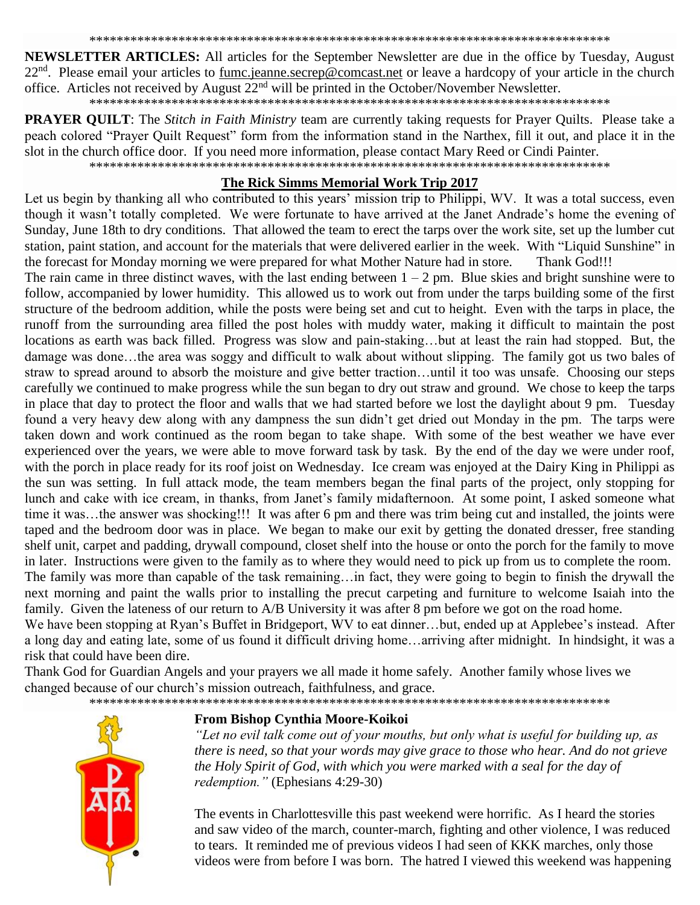NEWSLETTER ARTICLES: All articles for the September Newsletter are due in the office by Tuesday, August 22<sup>nd</sup>. Please email your articles to fumc.jeanne.secrep@comcast.net or leave a hardcopy of your article in the church office. Articles not received by August  $22<sup>nd</sup>$  will be printed in the October/November Newsletter.

**PRAYER QUILT**: The *Stitch in Faith Ministry* team are currently taking requests for Prayer Quilts. Please take a peach colored "Prayer Quilt Request" form from the information stand in the Narthex, fill it out, and place it in the slot in the church office door. If you need more information, please contact Mary Reed or Cindi Painter.

#### The Rick Simms Memorial Work Trip 2017

Let us begin by thanking all who contributed to this years' mission trip to Philippi, WV. It was a total success, even though it wasn't totally completed. We were fortunate to have arrived at the Janet Andrade's home the evening of Sunday, June 18th to dry conditions. That allowed the team to erect the tarps over the work site, set up the lumber cut station, paint station, and account for the materials that were delivered earlier in the week. With "Liquid Sunshine" in the forecast for Monday morning we were prepared for what Mother Nature had in store. Thank God!!!

The rain came in three distinct waves, with the last ending between  $1 - 2$  pm. Blue skies and bright sunshine were to follow, accompanied by lower humidity. This allowed us to work out from under the tarps building some of the first structure of the bedroom addition, while the posts were being set and cut to height. Even with the tarps in place, the runoff from the surrounding area filled the post holes with muddy water, making it difficult to maintain the post locations as earth was back filled. Progress was slow and pain-staking...but at least the rain had stopped. But, the damage was done...the area was soggy and difficult to walk about without slipping. The family got us two bales of straw to spread around to absorb the moisture and give better traction...until it too was unsafe. Choosing our steps carefully we continued to make progress while the sun began to dry out straw and ground. We chose to keep the tarps in place that day to protect the floor and walls that we had started before we lost the daylight about 9 pm. Tuesday found a very heavy dew along with any dampness the sun didn't get dried out Monday in the pm. The tarps were taken down and work continued as the room began to take shape. With some of the best weather we have ever experienced over the years, we were able to move forward task by task. By the end of the day we were under roof, with the porch in place ready for its roof joist on Wednesday. Ice cream was enjoyed at the Dairy King in Philippi as the sun was setting. In full attack mode, the team members began the final parts of the project, only stopping for lunch and cake with ice cream, in thanks, from Janet's family midafternoon. At some point, I asked someone what time it was...the answer was shocking!!! It was after 6 pm and there was trim being cut and installed, the joints were taped and the bedroom door was in place. We began to make our exit by getting the donated dresser, free standing shelf unit, carpet and padding, drywall compound, closet shelf into the house or onto the porch for the family to move in later. Instructions were given to the family as to where they would need to pick up from us to complete the room. The family was more than capable of the task remaining...in fact, they were going to begin to finish the drywall the next morning and paint the walls prior to installing the precut carpeting and furniture to welcome Isaiah into the family. Given the lateness of our return to A/B University it was after 8 pm before we got on the road home.

We have been stopping at Ryan's Buffet in Bridgeport, WV to eat dinner...but, ended up at Applebee's instead. After a long day and eating late, some of us found it difficult driving home...arriving after midnight. In hindsight, it was a risk that could have been dire.

Thank God for Guardian Angels and your prayers we all made it home safely. Another family whose lives we changed because of our church's mission outreach, faithfulness, and grace.



## From Bishop Cynthia Moore-Koikoi

"Let no evil talk come out of your mouths, but only what is useful for building up, as there is need, so that your words may give grace to those who hear. And do not grieve the Holy Spirit of God, with which you were marked with a seal for the day of *redemption.*" (Ephesians 4:29-30)

The events in Charlottesville this past weekend were horrific. As I heard the stories and saw video of the march, counter-march, fighting and other violence, I was reduced to tears. It reminded me of previous videos I had seen of KKK marches, only those videos were from before I was born. The hatred I viewed this weekend was happening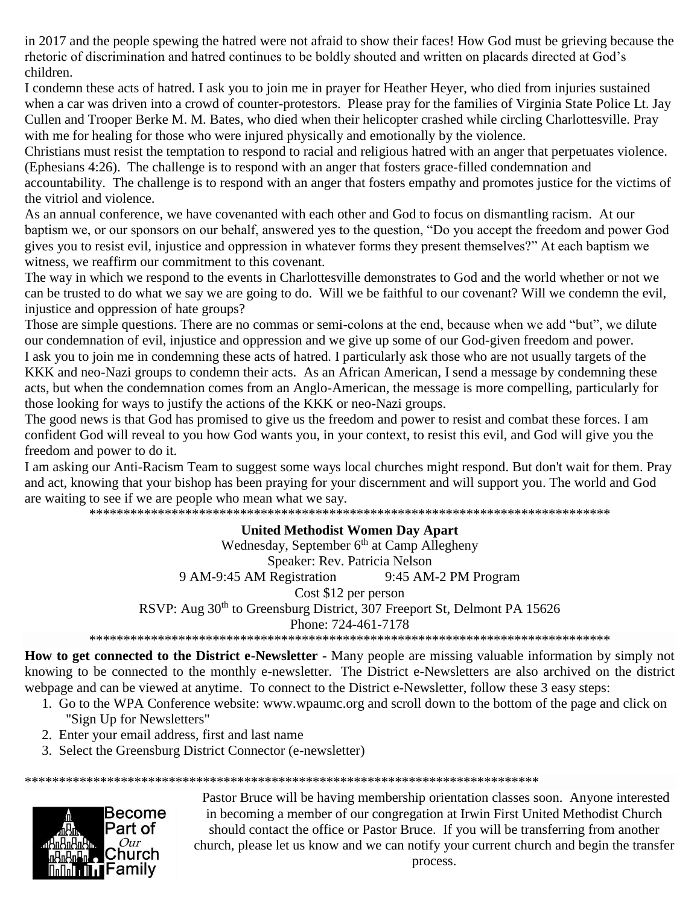in 2017 and the people spewing the hatred were not afraid to show their faces! How God must be grieving because the rhetoric of discrimination and hatred continues to be boldly shouted and written on placards directed at God's children.

I condemn these acts of hatred. I ask you to join me in prayer for Heather Heyer, who died from injuries sustained when a car was driven into a crowd of counter-protestors. Please pray for the families of Virginia State Police Lt. Jay Cullen and Trooper Berke M. M. Bates, who died when their helicopter crashed while circling Charlottesville. Pray with me for healing for those who were injured physically and emotionally by the violence.

Christians must resist the temptation to respond to racial and religious hatred with an anger that perpetuates violence. (Ephesians 4:26). The challenge is to respond with an anger that fosters grace-filled condemnation and

accountability. The challenge is to respond with an anger that fosters empathy and promotes justice for the victims of the vitriol and violence.

As an annual conference, we have covenanted with each other and God to focus on dismantling racism. At our baptism we, or our sponsors on our behalf, answered yes to the question, "Do you accept the freedom and power God gives you to resist evil, injustice and oppression in whatever forms they present themselves?" At each baptism we witness, we reaffirm our commitment to this covenant.

The way in which we respond to the events in Charlottesville demonstrates to God and the world whether or not we can be trusted to do what we say we are going to do. Will we be faithful to our covenant? Will we condemn the evil, injustice and oppression of hate groups?

Those are simple questions. There are no commas or semi-colons at the end, because when we add "but", we dilute our condemnation of evil, injustice and oppression and we give up some of our God-given freedom and power.

I ask you to join me in condemning these acts of hatred. I particularly ask those who are not usually targets of the KKK and neo-Nazi groups to condemn their acts. As an African American, I send a message by condemning these acts, but when the condemnation comes from an Anglo-American, the message is more compelling, particularly for those looking for ways to justify the actions of the KKK or neo-Nazi groups.

The good news is that God has promised to give us the freedom and power to resist and combat these forces. I am confident God will reveal to you how God wants you, in your context, to resist this evil, and God will give you the freedom and power to do it.

I am asking our Anti-Racism Team to suggest some ways local churches might respond. But don't wait for them. Pray and act, knowing that your bishop has been praying for your discernment and will support you. The world and God are waiting to see if we are people who mean what we say.

\*\*\*\*\*\*\*\*\*\*\*\*\*\*\*\*\*\*\*\*\*\*\*\*\*\*\*\*\*\*\*\*\*\*\*\*\*\*\*\*\*\*\*\*\*\*\*\*\*\*\*\*\*\*\*\*\*\*\*\*\*\*\*\*\*\*\*\*\*\*\*\*\*\*\*\*

## **United Methodist Women Day Apart**

Wednesday, September  $6<sup>th</sup>$  at Camp Allegheny Speaker: Rev. Patricia Nelson 9 AM-9:45 AM Registration 9:45 AM-2 PM Program Cost \$12 per person RSVP: Aug 30<sup>th</sup> to Greensburg District, 307 Freeport St, Delmont PA 15626 Phone: 724-461-7178 \*\*\*\*\*\*\*\*\*\*\*\*\*\*\*\*\*\*\*\*\*\*\*\*\*\*\*\*\*\*\*\*\*\*\*\*\*\*\*\*\*\*\*\*\*\*\*\*\*\*\*\*\*\*\*\*\*\*\*\*\*\*\*\*\*\*\*\*\*\*\*\*\*\*\*\*

**How to get connected to the District e-Newsletter -** Many people are missing valuable information by simply not knowing to be connected to the monthly e-newsletter. The District e-Newsletters are also archived on the district webpage and can be viewed at anytime. To connect to the District e-Newsletter, follow these 3 easy steps:

- 1. Go to the WPA Conference website: [www.wpaumc.org](http://www.wpaumc.org/!zfL6NylIMuIzM8q9KPCuNWMJyCYLXw5IH3tfMd3-76pcpCU1lvd60koxLC+aYQTBg) and scroll down to the bottom of the page and click on "Sign Up for Newsletters"
- 2. Enter your email address, first and last name
- 3. Select the Greensburg District Connector (e-newsletter)

\*\*\*\*\*\*\*\*\*\*\*\*\*\*\*\*\*\*\*\*\*\*\*\*\*\*\*\*\*\*\*\*\*\*\*\*\*\*\*\*\*\*\*\*\*\*\*\*\*\*\*\*\*\*\*\*\*\*\*\*\*\*\*\*\*\*\*\*\*\*\*\*\*\*\*



Pastor Bruce will be having membership orientation classes soon. Anyone interested in becoming a member of our congregation at Irwin First United Methodist Church should contact the office or Pastor Bruce. If you will be transferring from another church, please let us know and we can notify your current church and begin the transfer